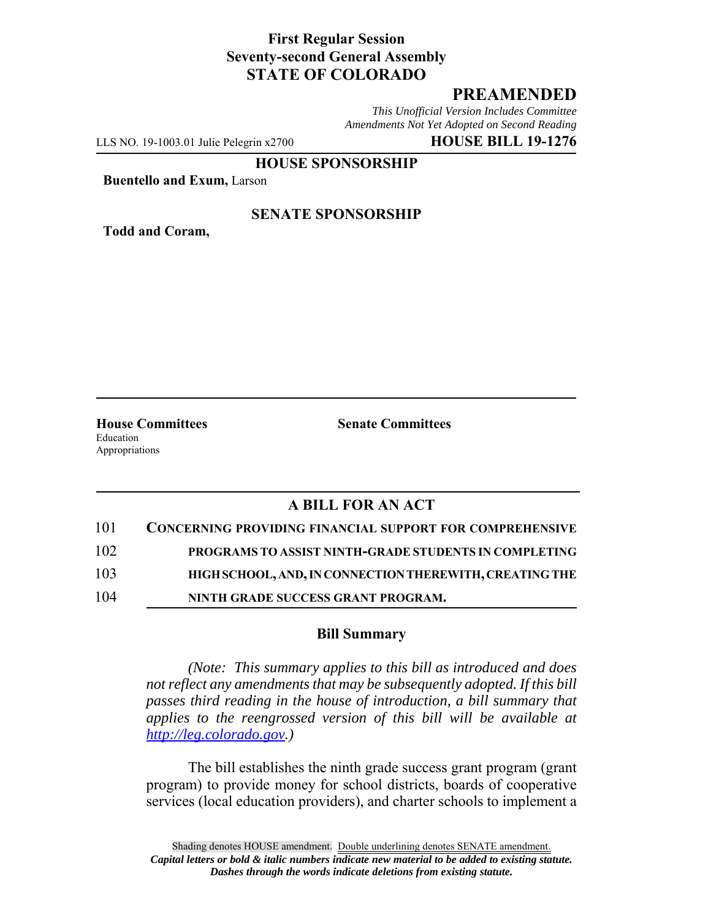### **First Regular Session Seventy-second General Assembly STATE OF COLORADO**

# **PREAMENDED**

*This Unofficial Version Includes Committee Amendments Not Yet Adopted on Second Reading*

LLS NO. 19-1003.01 Julie Pelegrin x2700 **HOUSE BILL 19-1276**

**HOUSE SPONSORSHIP**

**Buentello and Exum,** Larson

**Todd and Coram,**

#### **SENATE SPONSORSHIP**

Education Appropriations

**House Committees Senate Committees** 

## **A BILL FOR AN ACT**

| 101 | <b>CONCERNING PROVIDING FINANCIAL SUPPORT FOR COMPREHENSIVE</b> |
|-----|-----------------------------------------------------------------|
| 102 | PROGRAMS TO ASSIST NINTH-GRADE STUDENTS IN COMPLETING           |
| 103 | HIGH SCHOOL, AND, IN CONNECTION THEREWITH, CREATING THE         |
| 104 | NINTH GRADE SUCCESS GRANT PROGRAM.                              |

### **Bill Summary**

*(Note: This summary applies to this bill as introduced and does not reflect any amendments that may be subsequently adopted. If this bill passes third reading in the house of introduction, a bill summary that applies to the reengrossed version of this bill will be available at http://leg.colorado.gov.)*

The bill establishes the ninth grade success grant program (grant program) to provide money for school districts, boards of cooperative services (local education providers), and charter schools to implement a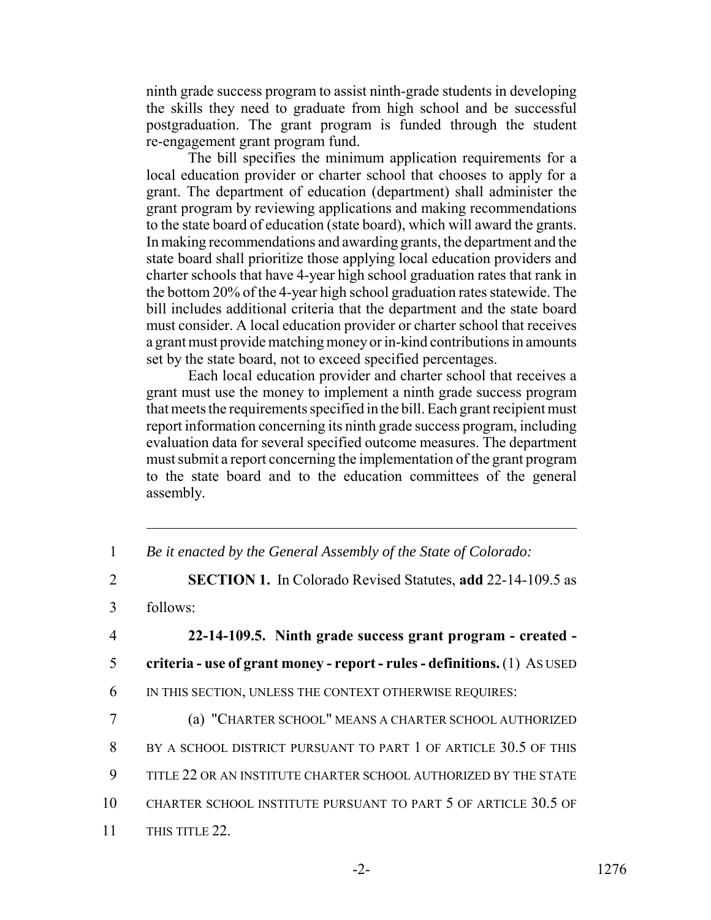ninth grade success program to assist ninth-grade students in developing the skills they need to graduate from high school and be successful postgraduation. The grant program is funded through the student re-engagement grant program fund.

The bill specifies the minimum application requirements for a local education provider or charter school that chooses to apply for a grant. The department of education (department) shall administer the grant program by reviewing applications and making recommendations to the state board of education (state board), which will award the grants. In making recommendations and awarding grants, the department and the state board shall prioritize those applying local education providers and charter schools that have 4-year high school graduation rates that rank in the bottom 20% of the 4-year high school graduation rates statewide. The bill includes additional criteria that the department and the state board must consider. A local education provider or charter school that receives a grant must provide matching money or in-kind contributions in amounts set by the state board, not to exceed specified percentages.

Each local education provider and charter school that receives a grant must use the money to implement a ninth grade success program that meets the requirements specified in the bill. Each grant recipient must report information concerning its ninth grade success program, including evaluation data for several specified outcome measures. The department must submit a report concerning the implementation of the grant program to the state board and to the education committees of the general assembly.

1 *Be it enacted by the General Assembly of the State of Colorado:*

3 follows:

4 **22-14-109.5. Ninth grade success grant program - created -** 5 **criteria - use of grant money - report - rules - definitions.** (1) AS USED 6 IN THIS SECTION, UNLESS THE CONTEXT OTHERWISE REQUIRES:

7 (a) "CHARTER SCHOOL" MEANS A CHARTER SCHOOL AUTHORIZED 8 BY A SCHOOL DISTRICT PURSUANT TO PART 1 OF ARTICLE 30.5 OF THIS 9 TITLE 22 OR AN INSTITUTE CHARTER SCHOOL AUTHORIZED BY THE STATE 10 CHARTER SCHOOL INSTITUTE PURSUANT TO PART 5 OF ARTICLE 30.5 OF 11 THIS TITLE 22.

<sup>2</sup> **SECTION 1.** In Colorado Revised Statutes, **add** 22-14-109.5 as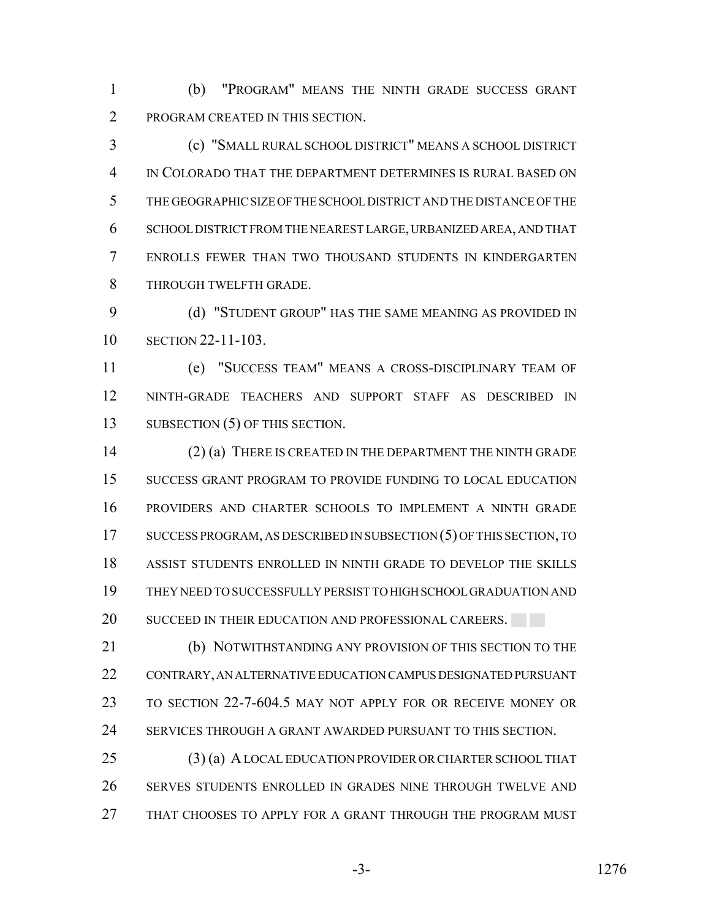(b) "PROGRAM" MEANS THE NINTH GRADE SUCCESS GRANT PROGRAM CREATED IN THIS SECTION.

 (c) "SMALL RURAL SCHOOL DISTRICT" MEANS A SCHOOL DISTRICT IN COLORADO THAT THE DEPARTMENT DETERMINES IS RURAL BASED ON THE GEOGRAPHIC SIZE OF THE SCHOOL DISTRICT AND THE DISTANCE OF THE SCHOOL DISTRICT FROM THE NEAREST LARGE, URBANIZED AREA, AND THAT ENROLLS FEWER THAN TWO THOUSAND STUDENTS IN KINDERGARTEN THROUGH TWELFTH GRADE.

 (d) "STUDENT GROUP" HAS THE SAME MEANING AS PROVIDED IN SECTION 22-11-103.

 (e) "SUCCESS TEAM" MEANS A CROSS-DISCIPLINARY TEAM OF NINTH-GRADE TEACHERS AND SUPPORT STAFF AS DESCRIBED IN 13 SUBSECTION (5) OF THIS SECTION.

 (2) (a) THERE IS CREATED IN THE DEPARTMENT THE NINTH GRADE SUCCESS GRANT PROGRAM TO PROVIDE FUNDING TO LOCAL EDUCATION PROVIDERS AND CHARTER SCHOOLS TO IMPLEMENT A NINTH GRADE SUCCESS PROGRAM, AS DESCRIBED IN SUBSECTION (5) OF THIS SECTION, TO ASSIST STUDENTS ENROLLED IN NINTH GRADE TO DEVELOP THE SKILLS THEY NEED TO SUCCESSFULLY PERSIST TO HIGH SCHOOL GRADUATION AND 20 SUCCEED IN THEIR EDUCATION AND PROFESSIONAL CAREERS.

 (b) NOTWITHSTANDING ANY PROVISION OF THIS SECTION TO THE CONTRARY, AN ALTERNATIVE EDUCATION CAMPUS DESIGNATED PURSUANT TO SECTION 22-7-604.5 MAY NOT APPLY FOR OR RECEIVE MONEY OR SERVICES THROUGH A GRANT AWARDED PURSUANT TO THIS SECTION.

 (3) (a) A LOCAL EDUCATION PROVIDER OR CHARTER SCHOOL THAT SERVES STUDENTS ENROLLED IN GRADES NINE THROUGH TWELVE AND THAT CHOOSES TO APPLY FOR A GRANT THROUGH THE PROGRAM MUST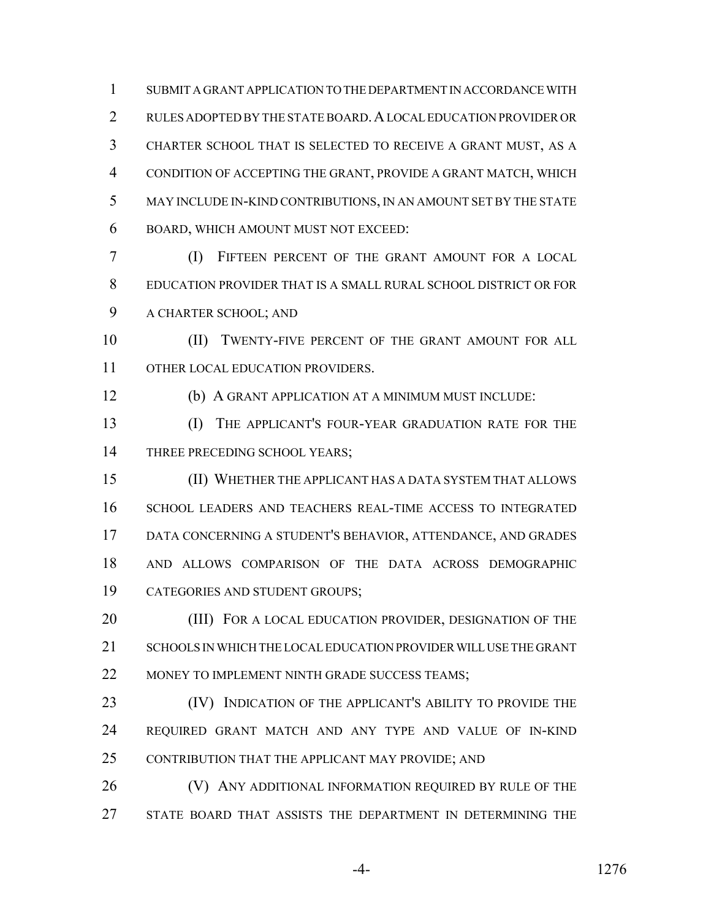SUBMIT A GRANT APPLICATION TO THE DEPARTMENT IN ACCORDANCE WITH 2 RULES ADOPTED BY THE STATE BOARD. A LOCAL EDUCATION PROVIDER OR CHARTER SCHOOL THAT IS SELECTED TO RECEIVE A GRANT MUST, AS A CONDITION OF ACCEPTING THE GRANT, PROVIDE A GRANT MATCH, WHICH MAY INCLUDE IN-KIND CONTRIBUTIONS, IN AN AMOUNT SET BY THE STATE BOARD, WHICH AMOUNT MUST NOT EXCEED:

 (I) FIFTEEN PERCENT OF THE GRANT AMOUNT FOR A LOCAL EDUCATION PROVIDER THAT IS A SMALL RURAL SCHOOL DISTRICT OR FOR A CHARTER SCHOOL; AND

10 (II) TWENTY-FIVE PERCENT OF THE GRANT AMOUNT FOR ALL 11 OTHER LOCAL EDUCATION PROVIDERS.

(b) A GRANT APPLICATION AT A MINIMUM MUST INCLUDE:

 (I) THE APPLICANT'S FOUR-YEAR GRADUATION RATE FOR THE 14 THREE PRECEDING SCHOOL YEARS;

 (II) WHETHER THE APPLICANT HAS A DATA SYSTEM THAT ALLOWS SCHOOL LEADERS AND TEACHERS REAL-TIME ACCESS TO INTEGRATED DATA CONCERNING A STUDENT'S BEHAVIOR, ATTENDANCE, AND GRADES AND ALLOWS COMPARISON OF THE DATA ACROSS DEMOGRAPHIC CATEGORIES AND STUDENT GROUPS;

20 (III) FOR A LOCAL EDUCATION PROVIDER, DESIGNATION OF THE SCHOOLS IN WHICH THE LOCAL EDUCATION PROVIDER WILL USE THE GRANT 22 MONEY TO IMPLEMENT NINTH GRADE SUCCESS TEAMS;

23 (IV) INDICATION OF THE APPLICANT'S ABILITY TO PROVIDE THE REQUIRED GRANT MATCH AND ANY TYPE AND VALUE OF IN-KIND CONTRIBUTION THAT THE APPLICANT MAY PROVIDE; AND

**(V) ANY ADDITIONAL INFORMATION REQUIRED BY RULE OF THE** STATE BOARD THAT ASSISTS THE DEPARTMENT IN DETERMINING THE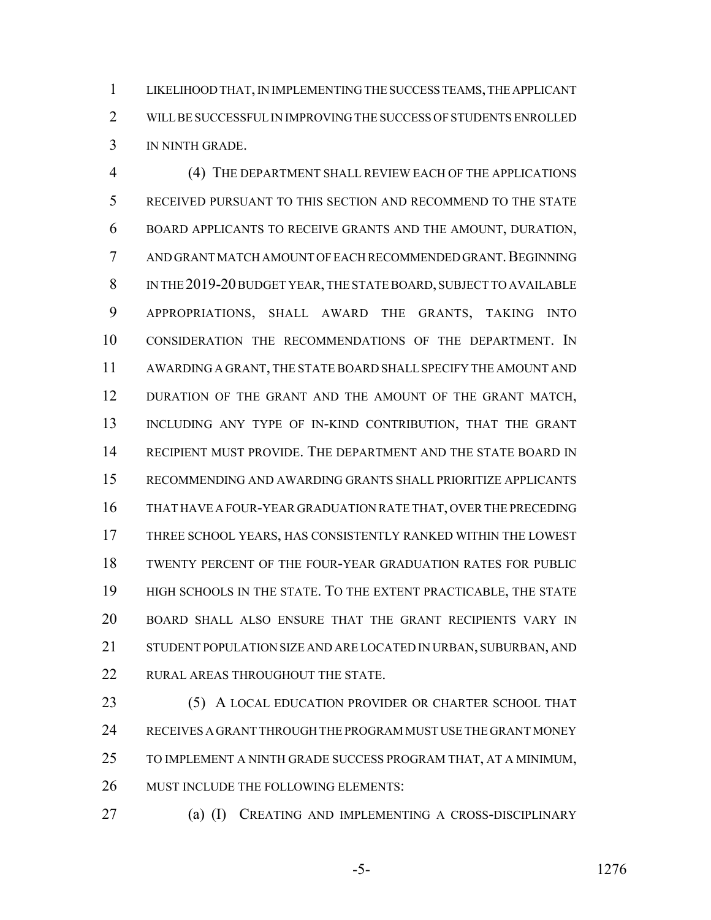LIKELIHOOD THAT, IN IMPLEMENTING THE SUCCESS TEAMS, THE APPLICANT WILL BE SUCCESSFUL IN IMPROVING THE SUCCESS OF STUDENTS ENROLLED IN NINTH GRADE.

 (4) THE DEPARTMENT SHALL REVIEW EACH OF THE APPLICATIONS RECEIVED PURSUANT TO THIS SECTION AND RECOMMEND TO THE STATE BOARD APPLICANTS TO RECEIVE GRANTS AND THE AMOUNT, DURATION, AND GRANT MATCH AMOUNT OF EACH RECOMMENDED GRANT.BEGINNING IN THE 2019-20 BUDGET YEAR, THE STATE BOARD, SUBJECT TO AVAILABLE APPROPRIATIONS, SHALL AWARD THE GRANTS, TAKING INTO CONSIDERATION THE RECOMMENDATIONS OF THE DEPARTMENT. IN AWARDING A GRANT, THE STATE BOARD SHALL SPECIFY THE AMOUNT AND 12 DURATION OF THE GRANT AND THE AMOUNT OF THE GRANT MATCH, 13 INCLUDING ANY TYPE OF IN-KIND CONTRIBUTION, THAT THE GRANT RECIPIENT MUST PROVIDE. THE DEPARTMENT AND THE STATE BOARD IN RECOMMENDING AND AWARDING GRANTS SHALL PRIORITIZE APPLICANTS THAT HAVE A FOUR-YEAR GRADUATION RATE THAT, OVER THE PRECEDING THREE SCHOOL YEARS, HAS CONSISTENTLY RANKED WITHIN THE LOWEST TWENTY PERCENT OF THE FOUR-YEAR GRADUATION RATES FOR PUBLIC HIGH SCHOOLS IN THE STATE. TO THE EXTENT PRACTICABLE, THE STATE BOARD SHALL ALSO ENSURE THAT THE GRANT RECIPIENTS VARY IN STUDENT POPULATION SIZE AND ARE LOCATED IN URBAN, SUBURBAN, AND 22 RURAL AREAS THROUGHOUT THE STATE.

23 (5) A LOCAL EDUCATION PROVIDER OR CHARTER SCHOOL THAT RECEIVES A GRANT THROUGH THE PROGRAM MUST USE THE GRANT MONEY TO IMPLEMENT A NINTH GRADE SUCCESS PROGRAM THAT, AT A MINIMUM, MUST INCLUDE THE FOLLOWING ELEMENTS:

- (a) (I) CREATING AND IMPLEMENTING A CROSS-DISCIPLINARY
	-

-5- 1276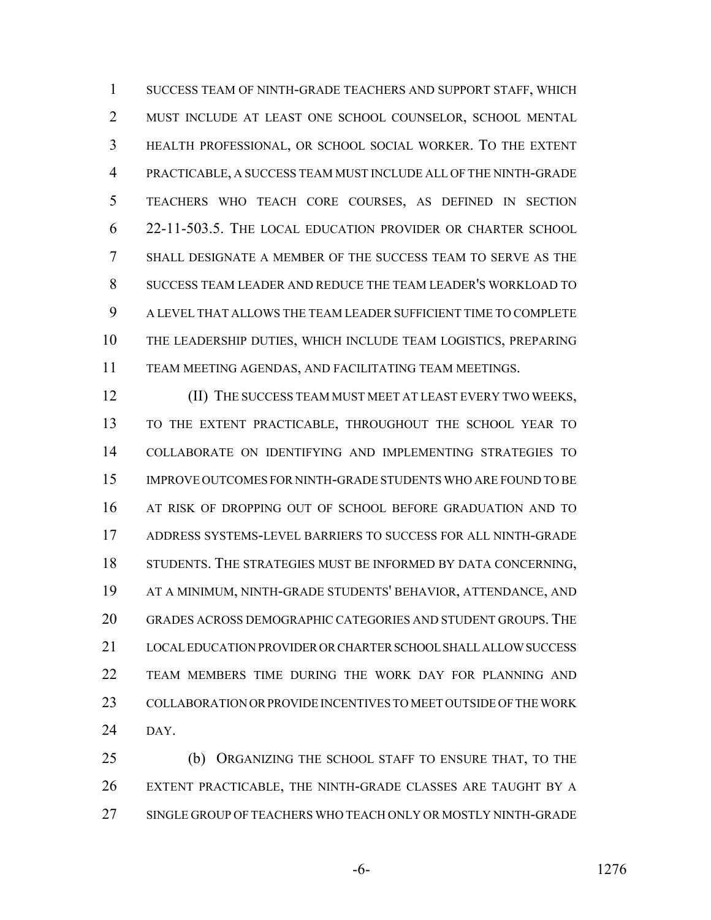SUCCESS TEAM OF NINTH-GRADE TEACHERS AND SUPPORT STAFF, WHICH MUST INCLUDE AT LEAST ONE SCHOOL COUNSELOR, SCHOOL MENTAL HEALTH PROFESSIONAL, OR SCHOOL SOCIAL WORKER. TO THE EXTENT PRACTICABLE, A SUCCESS TEAM MUST INCLUDE ALL OF THE NINTH-GRADE TEACHERS WHO TEACH CORE COURSES, AS DEFINED IN SECTION 22-11-503.5. THE LOCAL EDUCATION PROVIDER OR CHARTER SCHOOL SHALL DESIGNATE A MEMBER OF THE SUCCESS TEAM TO SERVE AS THE SUCCESS TEAM LEADER AND REDUCE THE TEAM LEADER'S WORKLOAD TO A LEVEL THAT ALLOWS THE TEAM LEADER SUFFICIENT TIME TO COMPLETE THE LEADERSHIP DUTIES, WHICH INCLUDE TEAM LOGISTICS, PREPARING TEAM MEETING AGENDAS, AND FACILITATING TEAM MEETINGS.

 (II) THE SUCCESS TEAM MUST MEET AT LEAST EVERY TWO WEEKS, TO THE EXTENT PRACTICABLE, THROUGHOUT THE SCHOOL YEAR TO COLLABORATE ON IDENTIFYING AND IMPLEMENTING STRATEGIES TO IMPROVE OUTCOMES FOR NINTH-GRADE STUDENTS WHO ARE FOUND TO BE AT RISK OF DROPPING OUT OF SCHOOL BEFORE GRADUATION AND TO ADDRESS SYSTEMS-LEVEL BARRIERS TO SUCCESS FOR ALL NINTH-GRADE 18 STUDENTS. THE STRATEGIES MUST BE INFORMED BY DATA CONCERNING, AT A MINIMUM, NINTH-GRADE STUDENTS' BEHAVIOR, ATTENDANCE, AND GRADES ACROSS DEMOGRAPHIC CATEGORIES AND STUDENT GROUPS. THE LOCAL EDUCATION PROVIDER OR CHARTER SCHOOL SHALL ALLOW SUCCESS TEAM MEMBERS TIME DURING THE WORK DAY FOR PLANNING AND COLLABORATION OR PROVIDE INCENTIVES TO MEET OUTSIDE OF THE WORK DAY.

 (b) ORGANIZING THE SCHOOL STAFF TO ENSURE THAT, TO THE EXTENT PRACTICABLE, THE NINTH-GRADE CLASSES ARE TAUGHT BY A SINGLE GROUP OF TEACHERS WHO TEACH ONLY OR MOSTLY NINTH-GRADE

-6- 1276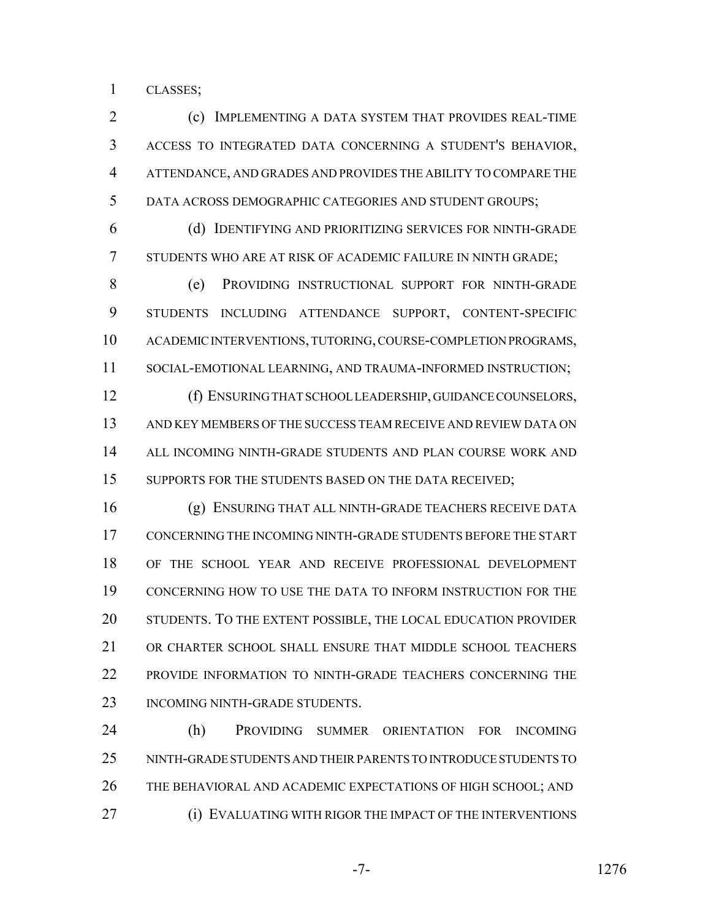CLASSES;

 (c) IMPLEMENTING A DATA SYSTEM THAT PROVIDES REAL-TIME ACCESS TO INTEGRATED DATA CONCERNING A STUDENT'S BEHAVIOR, ATTENDANCE, AND GRADES AND PROVIDES THE ABILITY TO COMPARE THE DATA ACROSS DEMOGRAPHIC CATEGORIES AND STUDENT GROUPS;

 (d) IDENTIFYING AND PRIORITIZING SERVICES FOR NINTH-GRADE STUDENTS WHO ARE AT RISK OF ACADEMIC FAILURE IN NINTH GRADE;

 (e) PROVIDING INSTRUCTIONAL SUPPORT FOR NINTH-GRADE STUDENTS INCLUDING ATTENDANCE SUPPORT, CONTENT-SPECIFIC ACADEMIC INTERVENTIONS, TUTORING, COURSE-COMPLETION PROGRAMS, SOCIAL-EMOTIONAL LEARNING, AND TRAUMA-INFORMED INSTRUCTION;

 (f) ENSURING THAT SCHOOL LEADERSHIP, GUIDANCE COUNSELORS, AND KEY MEMBERS OF THE SUCCESS TEAM RECEIVE AND REVIEW DATA ON ALL INCOMING NINTH-GRADE STUDENTS AND PLAN COURSE WORK AND 15 SUPPORTS FOR THE STUDENTS BASED ON THE DATA RECEIVED;

 (g) ENSURING THAT ALL NINTH-GRADE TEACHERS RECEIVE DATA CONCERNING THE INCOMING NINTH-GRADE STUDENTS BEFORE THE START OF THE SCHOOL YEAR AND RECEIVE PROFESSIONAL DEVELOPMENT CONCERNING HOW TO USE THE DATA TO INFORM INSTRUCTION FOR THE STUDENTS. TO THE EXTENT POSSIBLE, THE LOCAL EDUCATION PROVIDER OR CHARTER SCHOOL SHALL ENSURE THAT MIDDLE SCHOOL TEACHERS PROVIDE INFORMATION TO NINTH-GRADE TEACHERS CONCERNING THE 23 INCOMING NINTH-GRADE STUDENTS.

 (h) PROVIDING SUMMER ORIENTATION FOR INCOMING NINTH-GRADE STUDENTS AND THEIR PARENTS TO INTRODUCE STUDENTS TO THE BEHAVIORAL AND ACADEMIC EXPECTATIONS OF HIGH SCHOOL; AND (i) EVALUATING WITH RIGOR THE IMPACT OF THE INTERVENTIONS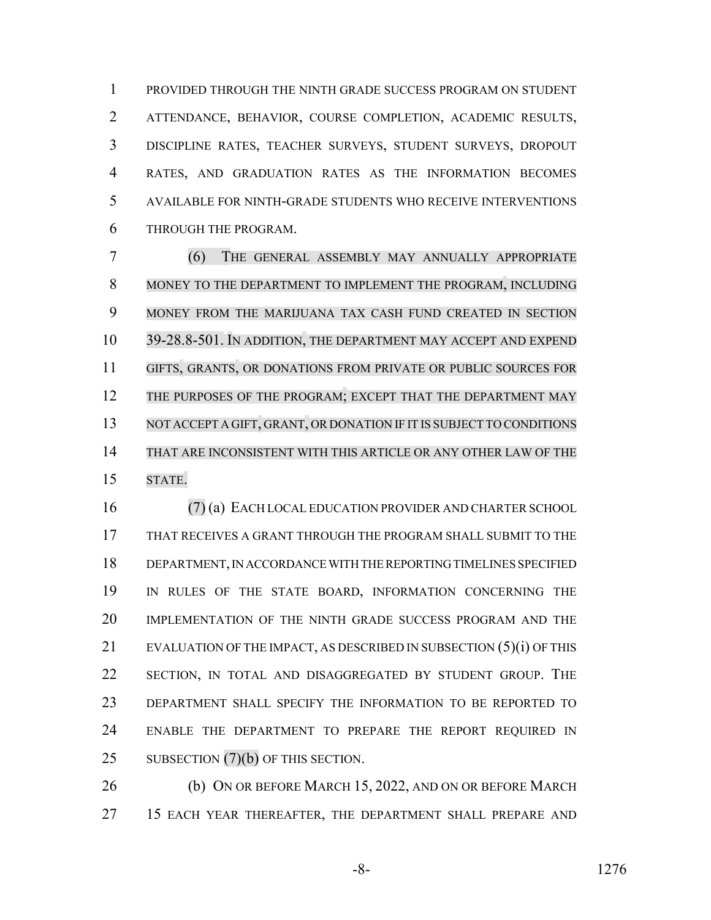PROVIDED THROUGH THE NINTH GRADE SUCCESS PROGRAM ON STUDENT ATTENDANCE, BEHAVIOR, COURSE COMPLETION, ACADEMIC RESULTS, DISCIPLINE RATES, TEACHER SURVEYS, STUDENT SURVEYS, DROPOUT RATES, AND GRADUATION RATES AS THE INFORMATION BECOMES AVAILABLE FOR NINTH-GRADE STUDENTS WHO RECEIVE INTERVENTIONS THROUGH THE PROGRAM.

 (6) THE GENERAL ASSEMBLY MAY ANNUALLY APPROPRIATE MONEY TO THE DEPARTMENT TO IMPLEMENT THE PROGRAM, INCLUDING MONEY FROM THE MARIJUANA TAX CASH FUND CREATED IN SECTION 39-28.8-501. IN ADDITION, THE DEPARTMENT MAY ACCEPT AND EXPEND GIFTS, GRANTS, OR DONATIONS FROM PRIVATE OR PUBLIC SOURCES FOR 12 THE PURPOSES OF THE PROGRAM; EXCEPT THAT THE DEPARTMENT MAY 13 NOT ACCEPT A GIFT, GRANT, OR DONATION IF IT IS SUBJECT TO CONDITIONS THAT ARE INCONSISTENT WITH THIS ARTICLE OR ANY OTHER LAW OF THE STATE.

 (7) (a) EACH LOCAL EDUCATION PROVIDER AND CHARTER SCHOOL THAT RECEIVES A GRANT THROUGH THE PROGRAM SHALL SUBMIT TO THE DEPARTMENT, IN ACCORDANCE WITH THE REPORTING TIMELINES SPECIFIED IN RULES OF THE STATE BOARD, INFORMATION CONCERNING THE IMPLEMENTATION OF THE NINTH GRADE SUCCESS PROGRAM AND THE EVALUATION OF THE IMPACT, AS DESCRIBED IN SUBSECTION (5)(i) OF THIS SECTION, IN TOTAL AND DISAGGREGATED BY STUDENT GROUP. THE DEPARTMENT SHALL SPECIFY THE INFORMATION TO BE REPORTED TO ENABLE THE DEPARTMENT TO PREPARE THE REPORT REQUIRED IN 25 SUBSECTION (7)(b) OF THIS SECTION.

**(b) ON OR BEFORE MARCH 15, 2022, AND ON OR BEFORE MARCH** 27 15 EACH YEAR THEREAFTER, THE DEPARTMENT SHALL PREPARE AND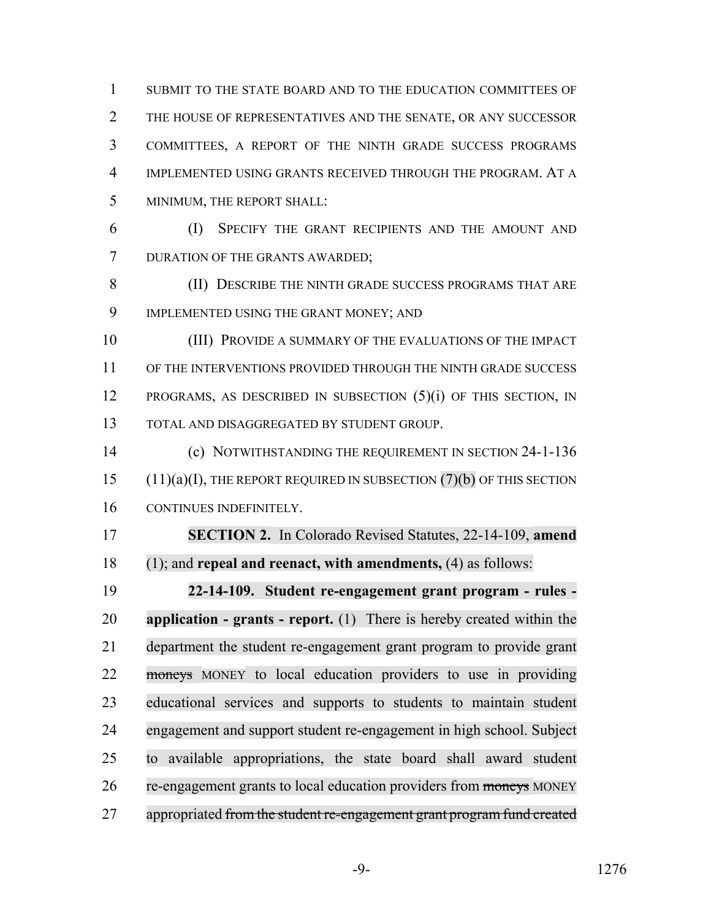SUBMIT TO THE STATE BOARD AND TO THE EDUCATION COMMITTEES OF THE HOUSE OF REPRESENTATIVES AND THE SENATE, OR ANY SUCCESSOR COMMITTEES, A REPORT OF THE NINTH GRADE SUCCESS PROGRAMS IMPLEMENTED USING GRANTS RECEIVED THROUGH THE PROGRAM. AT A MINIMUM, THE REPORT SHALL:

 (I) SPECIFY THE GRANT RECIPIENTS AND THE AMOUNT AND DURATION OF THE GRANTS AWARDED;

 (II) DESCRIBE THE NINTH GRADE SUCCESS PROGRAMS THAT ARE IMPLEMENTED USING THE GRANT MONEY; AND

 (III) PROVIDE A SUMMARY OF THE EVALUATIONS OF THE IMPACT OF THE INTERVENTIONS PROVIDED THROUGH THE NINTH GRADE SUCCESS PROGRAMS, AS DESCRIBED IN SUBSECTION (5)(i) OF THIS SECTION, IN TOTAL AND DISAGGREGATED BY STUDENT GROUP.

 (c) NOTWITHSTANDING THE REQUIREMENT IN SECTION 24-1-136 (11)(a)(I), THE REPORT REQUIRED IN SUBSECTION (7)(b) OF THIS SECTION CONTINUES INDEFINITELY.

 **SECTION 2.** In Colorado Revised Statutes, 22-14-109, **amend** (1); and **repeal and reenact, with amendments,** (4) as follows:

 **22-14-109. Student re-engagement grant program - rules - application - grants - report.** (1) There is hereby created within the department the student re-engagement grant program to provide grant moneys MONEY to local education providers to use in providing educational services and supports to students to maintain student engagement and support student re-engagement in high school. Subject to available appropriations, the state board shall award student 26 re-engagement grants to local education providers from moneys MONEY 27 appropriated from the student re-engagement grant program fund created